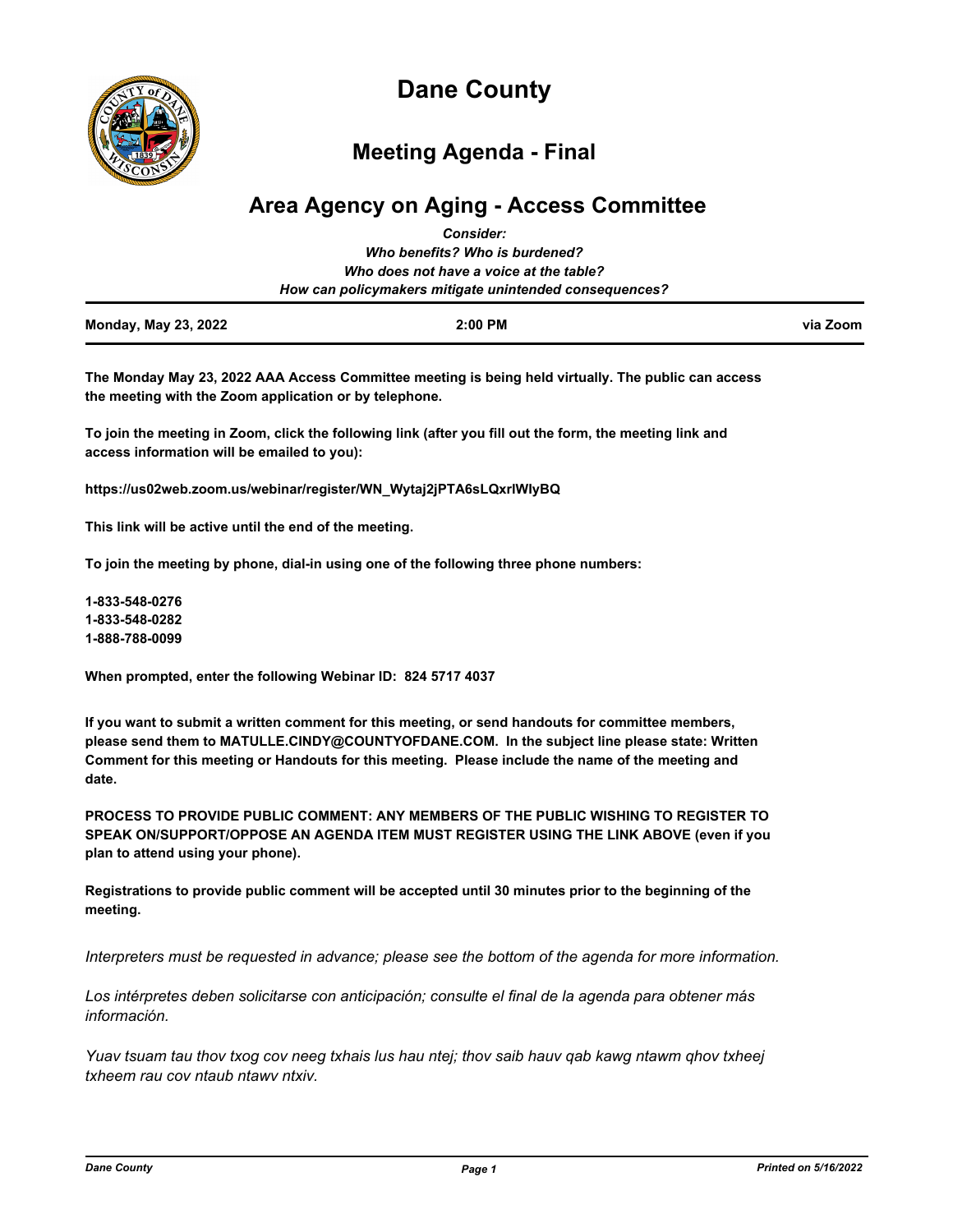

# **Dane County**

# **Meeting Agenda - Final**

# **Area Agency on Aging - Access Committee** *Consider:*

| <b>Monday, May 23, 2022</b> | $2:00$ PM                                              | via Zoom |
|-----------------------------|--------------------------------------------------------|----------|
|                             | How can policymakers mitigate unintended consequences? |          |
|                             | Who does not have a voice at the table?                |          |
|                             | Who benefits? Who is burdened?                         |          |
|                             | <b>00000000</b>                                        |          |

**The Monday May 23, 2022 AAA Access Committee meeting is being held virtually. The public can access the meeting with the Zoom application or by telephone.** 

**To join the meeting in Zoom, click the following link (after you fill out the form, the meeting link and access information will be emailed to you):** 

**https://us02web.zoom.us/webinar/register/WN\_Wytaj2jPTA6sLQxrlWIyBQ**

**This link will be active until the end of the meeting.** 

**To join the meeting by phone, dial-in using one of the following three phone numbers:** 

**1-833-548-0276 1-833-548-0282 1-888-788-0099**

**When prompted, enter the following Webinar ID: 824 5717 4037**

**If you want to submit a written comment for this meeting, or send handouts for committee members, please send them to MATULLE.CINDY@COUNTYOFDANE.COM. In the subject line please state: Written Comment for this meeting or Handouts for this meeting. Please include the name of the meeting and date.**

**PROCESS TO PROVIDE PUBLIC COMMENT: ANY MEMBERS OF THE PUBLIC WISHING TO REGISTER TO SPEAK ON/SUPPORT/OPPOSE AN AGENDA ITEM MUST REGISTER USING THE LINK ABOVE (even if you plan to attend using your phone).** 

**Registrations to provide public comment will be accepted until 30 minutes prior to the beginning of the meeting.**

*Interpreters must be requested in advance; please see the bottom of the agenda for more information.*

*Los intérpretes deben solicitarse con anticipación; consulte el final de la agenda para obtener más información.*

*Yuav tsuam tau thov txog cov neeg txhais lus hau ntej; thov saib hauv qab kawg ntawm qhov txheej txheem rau cov ntaub ntawv ntxiv.*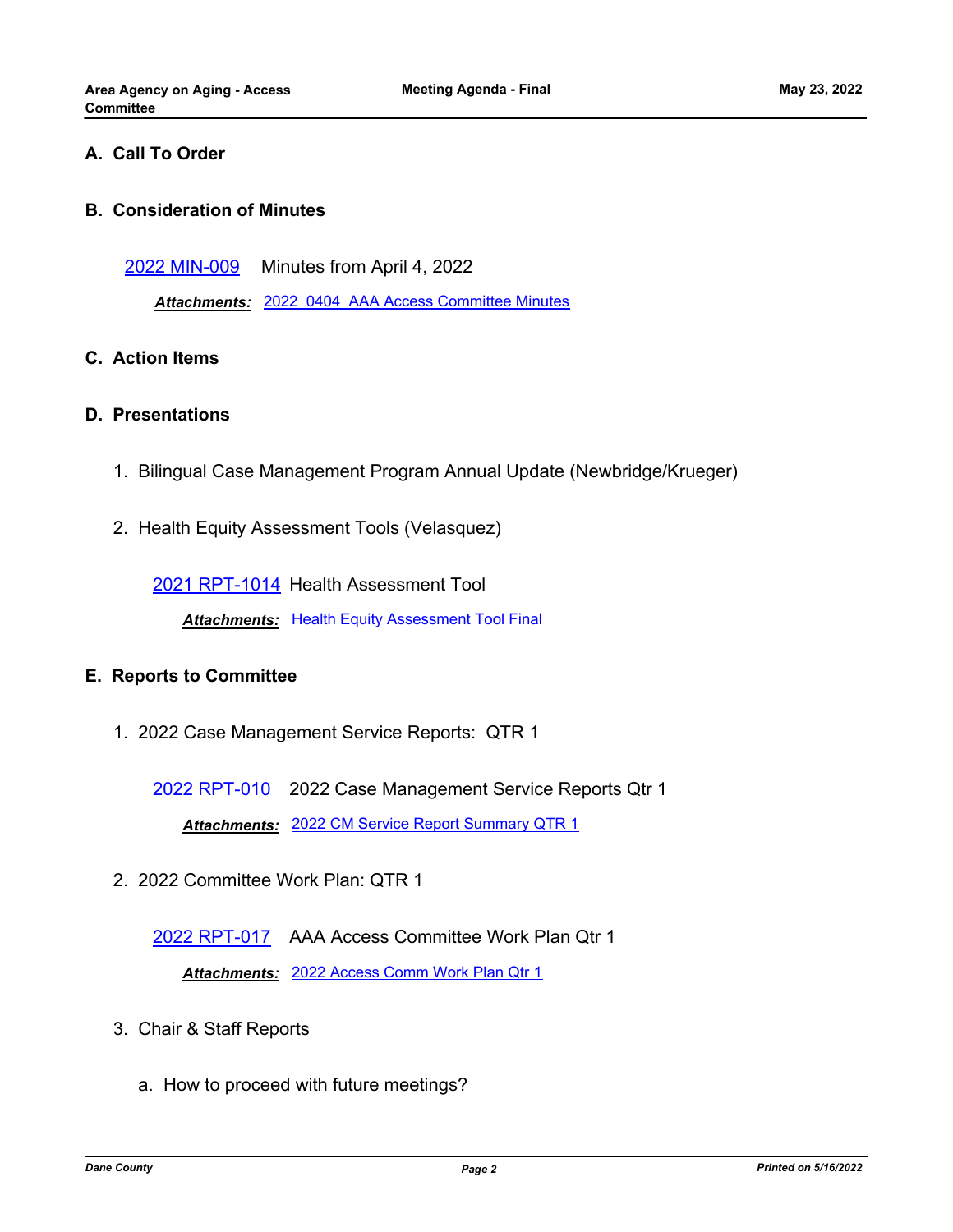## **A. Call To Order**

#### **B. Consideration of Minutes**

[2022 MIN-009](http://dane.legistar.com/gateway.aspx?m=l&id=/matter.aspx?key=22719) Minutes from April 4, 2022

*Attachments:* [2022\\_0404\\_AAA Access Committee Minutes](http://dane.legistar.com/gateway.aspx?M=F&ID=3f0b3a6f-5604-4658-bd3f-695f583b688f.pdf)

#### **C. Action Items**

#### **D. Presentations**

- 1. Bilingual Case Management Program Annual Update (Newbridge/Krueger)
- 2. Health Equity Assessment Tools (Velasquez)

[2021 RPT-1014](http://dane.legistar.com/gateway.aspx?m=l&id=/matter.aspx?key=22599) Health Assessment Tool

**Attachments: [Health Equity Assessment Tool Final](http://dane.legistar.com/gateway.aspx?M=F&ID=84851a99-c888-4fcc-9d1c-b437962014e6.docx)** 

## **E. Reports to Committee**

1. 2022 Case Management Service Reports: QTR 1

[2022 RPT-010](http://dane.legistar.com/gateway.aspx?m=l&id=/matter.aspx?key=22720) 2022 Case Management Service Reports Qtr 1 *Attachments:* [2022 CM Service Report Summary QTR 1](http://dane.legistar.com/gateway.aspx?M=F&ID=4d3b08da-d840-4521-874e-a49c9e7c0ab8.pdf)

2. 2022 Committee Work Plan: QTR 1

[2022 RPT-017](http://dane.legistar.com/gateway.aspx?m=l&id=/matter.aspx?key=22739) AAA Access Committee Work Plan Qtr 1 *Attachments:* [2022 Access Comm Work Plan Qtr 1](http://dane.legistar.com/gateway.aspx?M=F&ID=444c783d-c84d-45ec-904e-bd79776c09ec.pdf)

- 3. Chair & Staff Reports
	- a. How to proceed with future meetings?